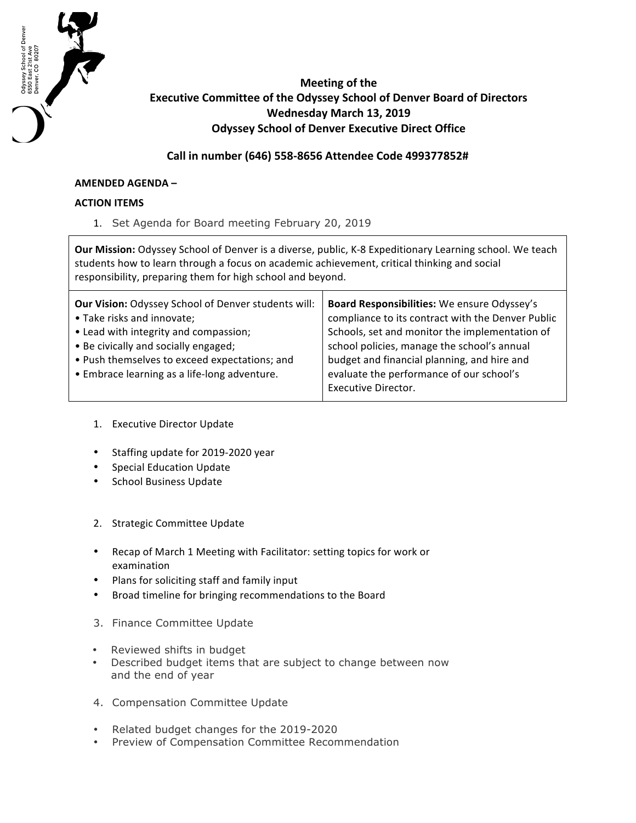

## **Meeting of the Executive Committee of the Odyssey School of Denver Board of Directors Wednesday March 13, 2019 Odyssey School of Denver Executive Direct Office**

**Call in number (646) 558-8656 Attendee Code 499377852#**

## **AMENDED AGENDA –**

## **ACTION ITEMS**

1. Set Agenda for Board meeting February 20, 2019

**Our Mission:** Odyssey School of Denver is a diverse, public, K-8 Expeditionary Learning school. We teach students how to learn through a focus on academic achievement, critical thinking and social responsibility, preparing them for high school and beyond.

| <b>Our Vision: Odyssey School of Denver students will:</b> | Board Responsibilities: We ensure Odyssey's       |
|------------------------------------------------------------|---------------------------------------------------|
| • Take risks and innovate;                                 | compliance to its contract with the Denver Public |
| • Lead with integrity and compassion;                      | Schools, set and monitor the implementation of    |
| • Be civically and socially engaged;                       | school policies, manage the school's annual       |
| • Push themselves to exceed expectations; and              | budget and financial planning, and hire and       |
| • Embrace learning as a life-long adventure.               | evaluate the performance of our school's          |
|                                                            | <b>Executive Director.</b>                        |

- 1. Executive Director Update
- Staffing update for 2019-2020 year
- Special Education Update
- School Business Update
- 2. Strategic Committee Update
- Recap of March 1 Meeting with Facilitator: setting topics for work or examination
- Plans for soliciting staff and family input
- Broad timeline for bringing recommendations to the Board
- 3. Finance Committee Update
- Reviewed shifts in budget
- Described budget items that are subject to change between now and the end of year
- 4. Compensation Committee Update
- Related budget changes for the 2019-2020
- Preview of Compensation Committee Recommendation